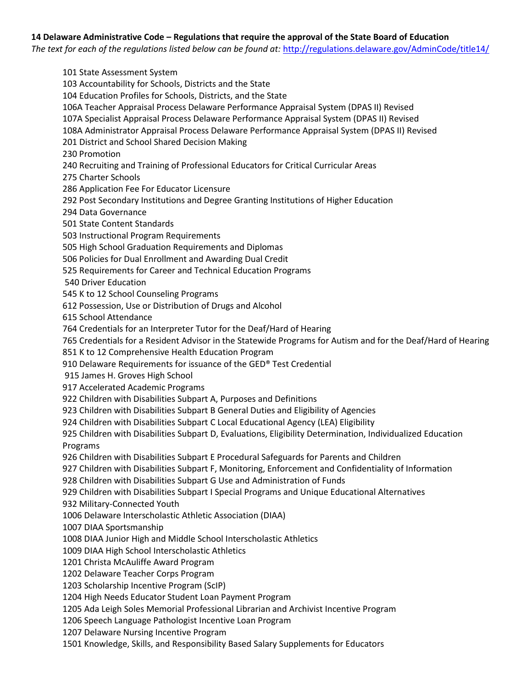## **14 Delaware Administrative Code – Regulations that require the approval of the State Board of Education**

*The text for each of the regulations listed below can be found at:* <http://regulations.delaware.gov/AdminCode/title14/>

101 State Assessment System 103 Accountability for Schools, Districts and the State 104 Education Profiles for Schools, Districts, and the State 106A Teacher Appraisal Process Delaware Performance Appraisal System (DPAS II) Revised 107A Specialist Appraisal Process Delaware Performance Appraisal System (DPAS II) Revised 108A Administrator Appraisal Process Delaware Performance Appraisal System (DPAS II) Revised 201 District and School Shared Decision Making 230 Promotion 240 Recruiting and Training of Professional Educators for Critical Curricular Areas 275 Charter Schools 286 Application Fee For Educator Licensure 292 Post Secondary Institutions and Degree Granting Institutions of Higher Education 294 Data Governance 501 State Content Standards 503 Instructional Program Requirements 505 High School Graduation Requirements and Diplomas 506 Policies for Dual Enrollment and Awarding Dual Credit 525 Requirements for Career and Technical Education Programs 540 Driver Education 545 K to 12 School Counseling Programs 612 Possession, Use or Distribution of Drugs and Alcohol 615 School Attendance 764 Credentials for an Interpreter Tutor for the Deaf/Hard of Hearing 765 Credentials for a Resident Advisor in the Statewide Programs for Autism and for the Deaf/Hard of Hearing 851 K to 12 Comprehensive Health Education Program 910 Delaware Requirements for issuance of the GED® Test Credential 915 James H. Groves High School 917 Accelerated Academic Programs 922 Children with Disabilities Subpart A, Purposes and Definitions 923 Children with Disabilities Subpart B General Duties and Eligibility of Agencies 924 Children with Disabilities Subpart C Local Educational Agency (LEA) Eligibility 925 Children with Disabilities Subpart D, Evaluations, Eligibility Determination, Individualized Education Programs 926 Children with Disabilities Subpart E Procedural Safeguards for Parents and Children 927 Children with Disabilities Subpart F, Monitoring, Enforcement and Confidentiality of Information 928 Children with Disabilities Subpart G Use and Administration of Funds 929 Children with Disabilities Subpart I Special Programs and Unique Educational Alternatives 932 Military-Connected Youth 1006 Delaware Interscholastic Athletic Association (DIAA) 1007 DIAA Sportsmanship 1008 DIAA Junior High and Middle School Interscholastic Athletics 1009 DIAA High School Interscholastic Athletics 1201 Christa McAuliffe Award Program 1202 Delaware Teacher Corps Program 1203 Scholarship Incentive Program (ScIP) 1204 High Needs Educator Student Loan Payment Program 1205 Ada Leigh Soles Memorial Professional Librarian and Archivist Incentive Program 1206 Speech Language Pathologist Incentive Loan Program 1207 Delaware Nursing Incentive Program 1501 Knowledge, Skills, and Responsibility Based Salary Supplements for Educators